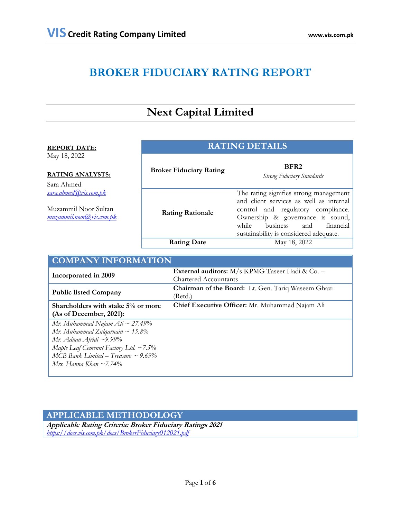# **BROKER FIDUCIARY RATING REPORT**

# **Next Capital Limited**

| <b>REPORT DATE:</b>                                                                                                                | <b>RATING DETAILS</b>          |                                                                                                                                                                                                                                                |  |
|------------------------------------------------------------------------------------------------------------------------------------|--------------------------------|------------------------------------------------------------------------------------------------------------------------------------------------------------------------------------------------------------------------------------------------|--|
| May 18, 2022<br><b>RATING ANALYSTS:</b><br>Sara Ahmed<br>sara.ahmed@vis.com.pk<br>Muzammil Noor Sultan<br>muzammil.noor@vis.com.pk | <b>Broker Fiduciary Rating</b> | BFR <sub>2</sub><br><b>Strong Fiduciary Standards</b>                                                                                                                                                                                          |  |
|                                                                                                                                    | <b>Rating Rationale</b>        | The rating signifies strong management<br>and client services as well as internal<br>control and regulatory compliance.<br>Ownership & governance is sound,<br>business<br>and<br>financial<br>while<br>sustainability is considered adequate. |  |
|                                                                                                                                    | <b>Rating Date</b>             | May 18, 2022                                                                                                                                                                                                                                   |  |
| <b>COMPANY INFORMATION</b>                                                                                                         |                                |                                                                                                                                                                                                                                                |  |

| COMPANI INFORMATION                         |                                                        |  |  |  |
|---------------------------------------------|--------------------------------------------------------|--|--|--|
|                                             | <b>External auditors:</b> M/s KPMG Taseer Hadi & Co. - |  |  |  |
| Incorporated in 2009                        | <b>Chartered Accountants</b>                           |  |  |  |
| <b>Public listed Company</b>                | Chairman of the Board: Lt. Gen. Tariq Waseem Ghazi     |  |  |  |
|                                             | (Retd.)                                                |  |  |  |
| Shareholders with stake 5% or more          | Chief Executive Officer: Mr. Muhammad Najam Ali        |  |  |  |
| (As of December, 2021):                     |                                                        |  |  |  |
| Mr. Muhammad Najam Ali ~ 27.49%             |                                                        |  |  |  |
| Mr. Muhammad Zulqarnain ~ 15.8%             |                                                        |  |  |  |
| $Mr.$ Adnan Afridi ~9.99%                   |                                                        |  |  |  |
| Maple Leaf Cemennt Factory Ltd. $\sim$ 7.5% |                                                        |  |  |  |
| MCB Bank Limited – Treasure $\sim$ 9.69%    |                                                        |  |  |  |
| Mrs. Hanna Khan ~7.74%                      |                                                        |  |  |  |
|                                             |                                                        |  |  |  |

# **APPLICABLE METHODOLOGY**

**Applicable Rating Criteria: Broker Fiduciary Ratings 2021** *<https://docs.vis.com.pk/docs/BrokerFiduciary012021.pdf>*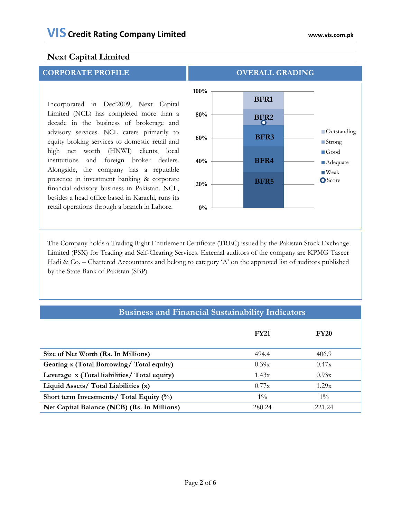Incorporated in Dec'2009, Next Capital Limited (NCL) has completed more than a decade in the business of brokerage and advisory services. NCL caters primarily to equity broking services to domestic retail and high net worth (HNWI) clients, local institutions and foreign broker dealers. Alongside, the company has a reputable presence in investment banking & corporate financial advisory business in Pakistan. NCL, besides a head office based in Karachi, runs its retail operations through a branch in Lahore. **0%**



 The Company holds a Trading Right Entitlement Certificate (TREC) issued by the Pakistan Stock Exchange Limited (PSX) for Trading and Self-Clearing Services. External auditors of the company are KPMG Taseer Hadi & Co. – Chartered Accountants and belong to category 'A' on the approved list of auditors published by the State Bank of Pakistan (SBP).

| <b>Business and Financial Sustainability Indicators</b> |             |             |  |  |  |
|---------------------------------------------------------|-------------|-------------|--|--|--|
|                                                         | <b>FY21</b> | <b>FY20</b> |  |  |  |
| Size of Net Worth (Rs. In Millions)                     | 494.4       | 406.9       |  |  |  |
| Gearing x (Total Borrowing/ Total equity)               | 0.39x       | 0.47x       |  |  |  |
| Leverage x (Total liabilities/ Total equity)            | 1.43x       | 0.93x       |  |  |  |
| Liquid Assets/ Total Liabilities (x)                    | 0.77x       | 1.29x       |  |  |  |
| Short term Investments/ Total Equity (%)                | $1\%$       | $1\%$       |  |  |  |
| Net Capital Balance (NCB) (Rs. In Millions)             | 280.24      | 221.24      |  |  |  |

#### Page **2** of **6**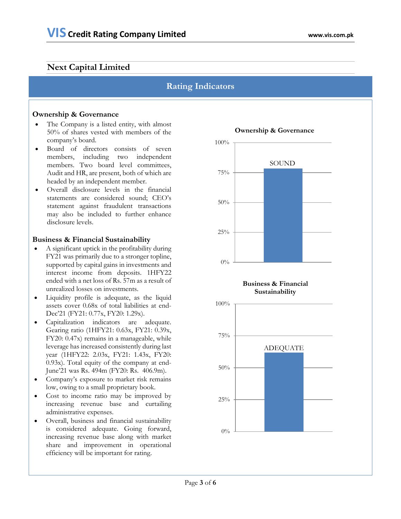# **Rating Indicators**

### **Ownership & Governance**

- The Company is a listed entity, with almost 50% of shares vested with members of the company's board.
- Board of directors consists of seven members, including two independent members. Two board level committees, Audit and HR, are present, both of which are headed by an independent member.
- Overall disclosure levels in the financial statements are considered sound; CEO's statement against fraudulent transactions may also be included to further enhance disclosure levels.

#### **Business & Financial Sustainability**

- A significant uptick in the profitability during FY21 was primarily due to a stronger topline, supported by capital gains in investments and interest income from deposits. 1HFY22 ended with a net loss of Rs. 57m as a result of unrealized losses on investments.
- Liquidity profile is adequate, as the liquid assets cover 0.68x of total liabilities at end-Dec'21 (FY21: 0.77x, FY20: 1.29x).
- Capitalization indicators are adequate. Gearing ratio (1HFY21: 0.63x, FY21: 0.39x, FY20: 0.47x) remains in a manageable, while leverage has increased consistently during last year (1HFY22: 2.03x, FY21: 1.43x, FY20: 0.93x). Total equity of the company at end-June'21 was Rs. 494m (FY20: Rs. 406.9m).
- Company's exposure to market risk remains low, owing to a small proprietary book.
- Cost to income ratio may be improved by increasing revenue base and curtailing administrative expenses.
- Overall, business and financial sustainability is considered adequate. Going forward, increasing revenue base along with market share and improvement in operational efficiency will be important for rating.



# **Ownership & Governance**



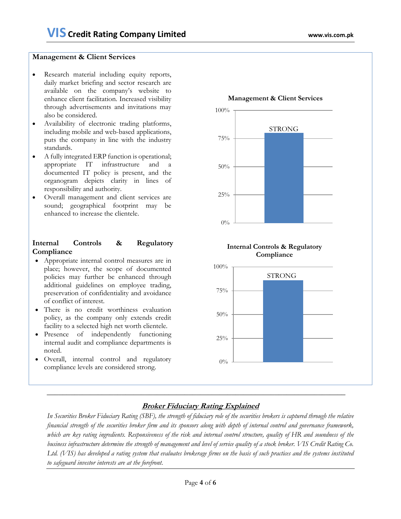#### **Management & Client Services**

- Research material including equity reports, daily market briefing and sector research are available on the company's website to enhance client facilitation. Increased visibility through advertisements and invitations may also be considered.
- Availability of electronic trading platforms, including mobile and web-based applications, puts the company in line with the industry standards.
- A fully integrated ERP function is operational; appropriate IT infrastructure and a documented IT policy is present, and the organogram depicts clarity in lines of responsibility and authority.
- Overall management and client services are sound; geographical footprint may be enhanced to increase the clientele.

## **Internal Controls & Regulatory Compliance**

- Appropriate internal control measures are in place; however, the scope of documented policies may further be enhanced through additional guidelines on employee trading, preservation of confidentiality and avoidance of conflict of interest.
- There is no credit worthiness evaluation policy, as the company only extends credit facility to a selected high net worth clientele.
- Presence of independently functioning internal audit and compliance departments is noted.
- Overall, internal control and regulatory compliance levels are considered strong.





## **Broker Fiduciary Rating Explained**

*In Securities Broker Fiduciary Rating (SBF), the strength of fiduciary role of the securities brokers is captured through the relative financial strength of the securities broker firm and its sponsors along with depth of internal control and governance framework, which are key rating ingredients. Responsiveness of the risk and internal control structure, quality of HR and soundness of the business infrastructure determine the strength of management and level of service quality of a stock broker. VIS Credit Rating Co. Ltd. (VIS) has developed a rating system that evaluates brokerage firms on the basis of such practices and the systems instituted to safeguard investor interests are at the forefront.*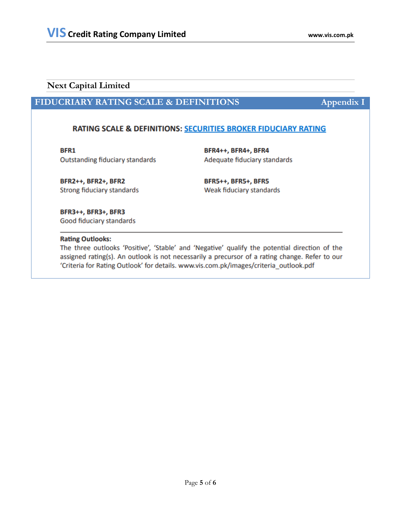# **FIDUCRIARY RATING SCALE & DEFINITIONS Appendix I**

## RATING SCALE & DEFINITIONS: SECURITIES BROKER FIDUCIARY RATING

BFR1

**Outstanding fiduciary standards** 

BFR4++, BFR4+, BFR4 Adequate fiduciary standards

BFR2++, BFR2+, BFR2 Strong fiduciary standards **BFR5++, BFR5+, BFR5** Weak fiduciary standards

BFR3++, BFR3+, BFR3 Good fiduciary standards

#### **Rating Outlooks:**

The three outlooks 'Positive', 'Stable' and 'Negative' qualify the potential direction of the assigned rating(s). An outlook is not necessarily a precursor of a rating change. Refer to our 'Criteria for Rating Outlook' for details. www.vis.com.pk/images/criteria\_outlook.pdf